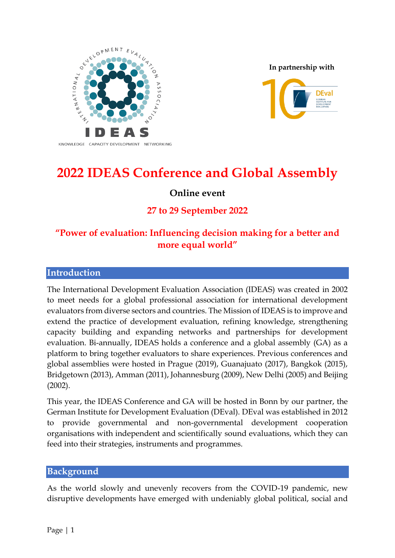

**In partnership with**



# **2022 IDEAS Conference and Global Assembly**

# **Online event**

# **27 to 29 September 2022**

# **"Power of evaluation: Influencing decision making for a better and more equal world"**

#### **Introduction**

The International Development Evaluation Association (IDEAS) was created in 2002 to meet needs for a global professional association for international development evaluators from diverse sectors and countries. The Mission of IDEAS is to improve and extend the practice of development evaluation, refining knowledge, strengthening capacity building and expanding networks and partnerships for development evaluation. Bi-annually, IDEAS holds a conference and a global assembly (GA) as a platform to bring together evaluators to share experiences. Previous conferences and global assemblies were hosted in Prague (2019), Guanajuato (2017), Bangkok (2015), Bridgetown (2013), Amman (2011), Johannesburg (2009), New Delhi (2005) and Beijing (2002).

This year, the IDEAS Conference and GA will be hosted in Bonn by our partner, the German Institute for Development Evaluation (DEval). DEval was established in 2012 to provide governmental and non-governmental development cooperation organisations with independent and scientifically sound evaluations, which they can feed into their strategies, instruments and programmes.

#### **Background**

As the world slowly and unevenly recovers from the COVID-19 pandemic, new disruptive developments have emerged with undeniably global political, social and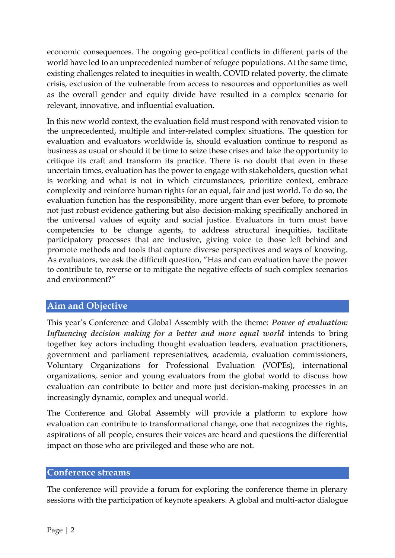economic consequences. The ongoing geo-political conflicts in different parts of the world have led to an unprecedented number of refugee populations. At the same time, existing challenges related to inequities in wealth, COVID related poverty, the climate crisis, exclusion of the vulnerable from access to resources and opportunities as well as the overall gender and equity divide have resulted in a complex scenario for relevant, innovative, and influential evaluation.

In this new world context, the evaluation field must respond with renovated vision to the unprecedented, multiple and inter-related complex situations. The question for evaluation and evaluators worldwide is, should evaluation continue to respond as business as usual or should it be time to seize these crises and take the opportunity to critique its craft and transform its practice. There is no doubt that even in these uncertain times, evaluation has the power to engage with stakeholders, question what is working and what is not in which circumstances, prioritize context, embrace complexity and reinforce human rights for an equal, fair and just world. To do so, the evaluation function has the responsibility, more urgent than ever before, to promote not just robust evidence gathering but also decision-making specifically anchored in the universal values of equity and social justice. Evaluators in turn must have competencies to be change agents, to address structural inequities, facilitate participatory processes that are inclusive, giving voice to those left behind and promote methods and tools that capture diverse perspectives and ways of knowing. As evaluators, we ask the difficult question, "Has and can evaluation have the power to contribute to, reverse or to mitigate the negative effects of such complex scenarios and environment?"

## **Aim and Objective**

This year's Conference and Global Assembly with the theme: *Power of evaluation: Influencing decision making for a better and more equal world* intends to bring together key actors including thought evaluation leaders, evaluation practitioners, government and parliament representatives, academia, evaluation commissioners, Voluntary Organizations for Professional Evaluation (VOPEs), international organizations, senior and young evaluators from the global world to discuss how evaluation can contribute to better and more just decision-making processes in an increasingly dynamic, complex and unequal world.

The Conference and Global Assembly will provide a platform to explore how evaluation can contribute to transformational change, one that recognizes the rights, aspirations of all people, ensures their voices are heard and questions the differential impact on those who are privileged and those who are not.

#### **Conference streams**

The conference will provide a forum for exploring the conference theme in plenary sessions with the participation of keynote speakers. A global and multi-actor dialogue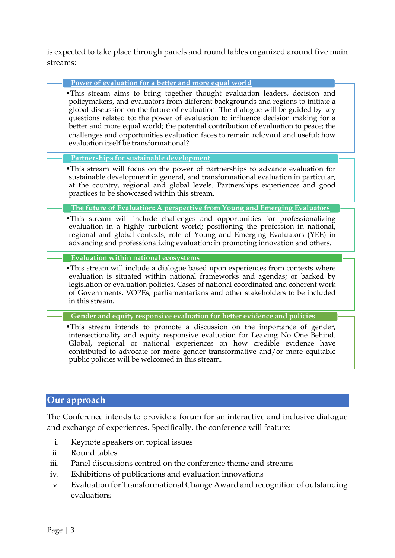is expected to take place through panels and round tables organized around five main streams:

**Power of evaluation for a better and more equal world**

•This stream aims to bring together thought evaluation leaders, decision and policymakers, and evaluators from different backgrounds and regions to initiate a global discussion on the future of evaluation. The dialogue will be guided by key questions related to: the power of evaluation to influence decision making for a better and more equal world; the potential contribution of evaluation to peace; the challenges and opportunities evaluation faces to remain relevant and useful; how evaluation itself be transformational?

**Partnerships for sustainable development**

•This stream will focus on the power of partnerships to advance evaluation for sustainable development in general, and transformational evaluation in particular, at the country, regional and global levels. Partnerships experiences and good practices to be showcased within this stream.

#### **The future of Evaluation: A perspective from Young and Emerging Evaluators**

•This stream will include challenges and opportunities for professionalizing evaluation in a highly turbulent world; positioning the profession in national, regional and global contexts; role of Young and Emerging Evaluators (YEE) in advancing and professionalizing evaluation; in promoting innovation and others.

**Evaluation within national ecosystems**

•This stream will include a dialogue based upon experiences from contexts where evaluation is situated within national frameworks and agendas; or backed by legislation or evaluation policies. Cases of national coordinated and coherent work of Governments, VOPEs, parliamentarians and other stakeholders to be included in this stream.

**Gender and equity responsive evaluation for better evidence and policies**

•This stream intends to promote a discussion on the importance of gender, intersectionality and equity responsive evaluation for Leaving No One Behind. Global, regional or national experiences on how credible evidence have contributed to advocate for more gender transformative and/or more equitable public policies will be welcomed in this stream.

#### **Our approach**

The Conference intends to provide a forum for an interactive and inclusive dialogue and exchange of experiences. Specifically, the conference will feature:

- i. Keynote speakers on topical issues
- ii. Round tables
- iii. Panel discussions centred on the conference theme and streams
- iv. Exhibitions of publications and evaluation innovations
- v. Evaluation for Transformational Change Award and recognition of outstanding evaluations